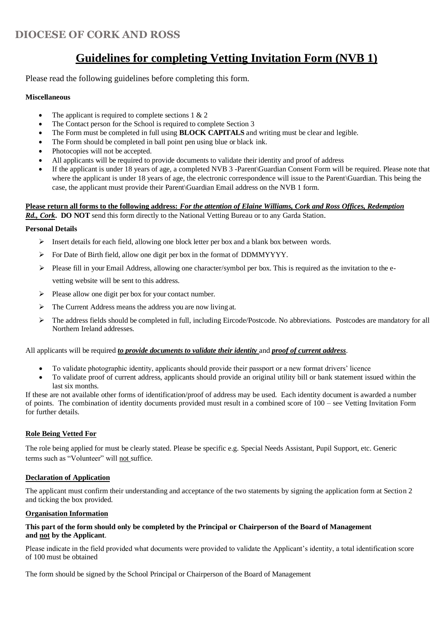## **DIOCESE OF CORK AND ROSS**

# **Guidelines for completing Vetting Invitation Form (NVB 1)**

Please read the following guidelines before completing this form.

#### **Miscellaneous**

- The applicant is required to complete sections  $1 \& 2$
- The Contact person for the School is required to complete Section 3
- The Form must be completed in full using **BLOCK CAPITALS** and writing must be clear and legible.
- The Form should be completed in ball point pen using blue or black ink.
- Photocopies will not be accepted.
- All applicants will be required to provide documents to validate their identity and proof of address
- If the applicant is under 18 years of age, a completed NVB 3 -Parent\Guardian Consent Form will be required. Please note that where the applicant is under 18 years of age, the electronic correspondence will issue to the Parent\Guardian. This being the case, the applicant must provide their Parent\Guardian Email address on the NVB 1 form.

### **Please return all forms to the following address:** *For the attention of Elaine Williams, Cork and Ross Offices, Redemption*

*Rd., Cork***. DO NOT** send this form directly to the National Vetting Bureau or to any Garda Station.

#### **Personal Details**

- $\triangleright$  Insert details for each field, allowing one block letter per box and a blank box between words.
- ➢ For Date of Birth field, allow one digit per box in the format of DDMMYYYY.
- $\triangleright$  Please fill in your Email Address, allowing one character/symbol per box. This is required as the invitation to the evetting website will be sent to this address.
- ➢ Please allow one digit per box for your contact number.
- ➢ The Current Address means the address you are now living at.
- ➢ The address fields should be completed in full, including Eircode/Postcode. No abbreviations. Postcodes are mandatory for all Northern Ireland addresses.

All applicants will be required *to provide documents to validate their identity* and *proof of current address*.

- To validate photographic identity, applicants should provide their passport or a new format drivers' licence
- To validate proof of current address, applicants should provide an original utility bill or bank statement issued within the last six months.

If these are not available other forms of identification/proof of address may be used. Each identity document is awarded a number of points. The combination of identity documents provided must result in a combined score of 100 – see Vetting Invitation Form for further details.

### **Role Being Vetted For**

The role being applied for must be clearly stated. Please be specific e.g. Special Needs Assistant, Pupil Support, etc. Generic terms such as "Volunteer" will not suffice.

### **Declaration of Application**

The applicant must confirm their understanding and acceptance of the two statements by signing the application form at Section 2 and ticking the box provided.

#### **Organisation Information**

#### **This part of the form should only be completed by the Principal or Chairperson of the Board of Management and not by the Applicant**.

Please indicate in the field provided what documents were provided to validate the Applicant's identity, a total identification score of 100 must be obtained

The form should be signed by the School Principal or Chairperson of the Board of Management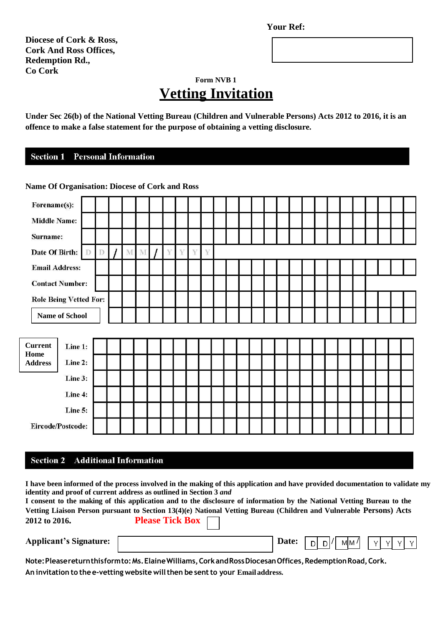**Your Ref:**

**Diocese of Cork & Ross, Cork And Ross Offices, Redemption Rd., Co Cork**

## **Form NVB 1 Vetting Invitation**

**Under Sec 26(b) of the National Vetting Bureau (Children and Vulnerable Persons) Acts 2012 to 2016, it is an offence to make a false statement for the purpose of obtaining a vetting disclosure.**

#### **Personal Information Section 1**

**Name Of Organisation: Diocese of Cork and Ross**

| Forename(s):                  |                       |   |   |                |   |   |          |   |   |   |   |  |  |  |  |  |  |  |  |
|-------------------------------|-----------------------|---|---|----------------|---|---|----------|---|---|---|---|--|--|--|--|--|--|--|--|
| <b>Middle Name:</b>           |                       |   |   |                |   |   |          |   |   |   |   |  |  |  |  |  |  |  |  |
| Surname:                      |                       |   |   |                |   |   |          |   |   |   |   |  |  |  |  |  |  |  |  |
| Date Of Birth:                |                       | D | D | $\overline{1}$ | M | M | $\prime$ | Y | V | V | V |  |  |  |  |  |  |  |  |
| <b>Email Address:</b>         |                       |   |   |                |   |   |          |   |   |   |   |  |  |  |  |  |  |  |  |
| <b>Contact Number:</b>        |                       |   |   |                |   |   |          |   |   |   |   |  |  |  |  |  |  |  |  |
| <b>Role Being Vetted For:</b> |                       |   |   |                |   |   |          |   |   |   |   |  |  |  |  |  |  |  |  |
|                               | <b>Name of School</b> |   |   |                |   |   |          |   |   |   |   |  |  |  |  |  |  |  |  |
|                               |                       |   |   |                |   |   |          |   |   |   |   |  |  |  |  |  |  |  |  |
| <b>Current</b><br>Home        | Line 1:               |   |   |                |   |   |          |   |   |   |   |  |  |  |  |  |  |  |  |
| <b>Address</b>                | Line 2:               |   |   |                |   |   |          |   |   |   |   |  |  |  |  |  |  |  |  |
|                               | Line 3:               |   |   |                |   |   |          |   |   |   |   |  |  |  |  |  |  |  |  |
|                               | Line 4:               |   |   |                |   |   |          |   |   |   |   |  |  |  |  |  |  |  |  |
|                               | Line 5:               |   |   |                |   |   |          |   |   |   |   |  |  |  |  |  |  |  |  |
| Eircode/Postcode:             |                       |   |   |                |   |   |          |   |   |   |   |  |  |  |  |  |  |  |  |

#### **Section 2 Additional Information**

**I have been informed of the process involved in the making of this application and have provided documentation to validate my identity and proof of current address as outlined in Section 3** *and*

| I consent to the making of this application and to the disclosure of information by the National Vetting Bureau to the |                        |  |  |
|------------------------------------------------------------------------------------------------------------------------|------------------------|--|--|
| Vetting Liaison Person pursuant to Section 13(4)(e) National Vetting Bureau (Children and Vulnerable Persons) Acts     |                        |  |  |
| 2012 to 2016.                                                                                                          | <b>Please Tick Box</b> |  |  |

**Applicant's Signature: Da** 

|  |  |  | ٠<br>٠ | л | M |  |  |  |  |
|--|--|--|--------|---|---|--|--|--|--|
|--|--|--|--------|---|---|--|--|--|--|

| Note: Pleasereturn thisform to: Ms. Elaine Williams, Cork and Ross Diocesan Offices, Redemption Road, Cork. |
|-------------------------------------------------------------------------------------------------------------|
| An invitation to the e-vetting website will then be sent to your Email address.                             |